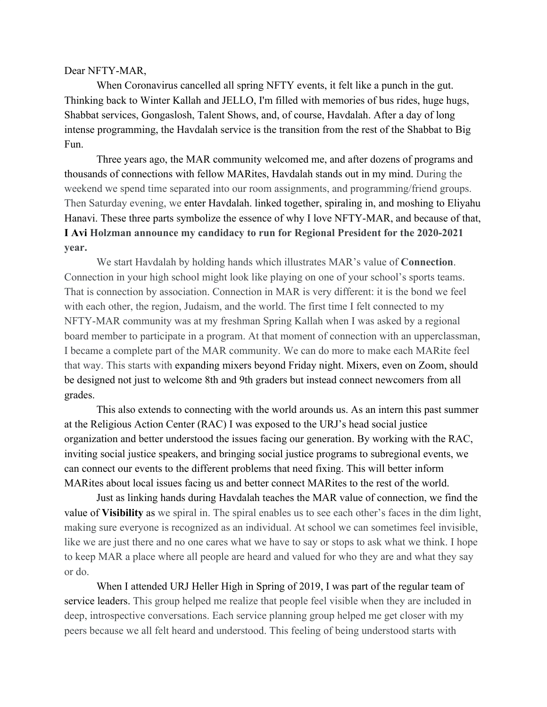## Dear NFTY-MAR,

When Coronavirus cancelled all spring NFTY events, it felt like a punch in the gut. Thinking back to Winter Kallah and JELLO, I'm filled with memories of bus rides, huge hugs, Shabbat services, Gongaslosh, Talent Shows, and, of course, Havdalah. After a day of long intense programming, the Havdalah service is the transition from the rest of the Shabbat to Big Fun.

Three years ago, the MAR community welcomed me, and after dozens of programs and thousands of connections with fellow MARites, Havdalah stands out in my mind. During the weekend we spend time separated into our room assignments, and programming/friend groups. Then Saturday evening, we enter Havdalah. linked together, spiraling in, and moshing to Eliyahu Hanavi. These three parts symbolize the essence of why I love NFTY-MAR, and because of that, **I Avi Holzman announce my candidacy to run for Regional President for the 2020-2021 year.**

We start Havdalah by holding hands which illustrates MAR's value of **Connection**. Connection in your high school might look like playing on one of your school's sports teams. That is connection by association. Connection in MAR is very different: it is the bond we feel with each other, the region, Judaism, and the world. The first time I felt connected to my NFTY-MAR community was at my freshman Spring Kallah when I was asked by a regional board member to participate in a program. At that moment of connection with an upperclassman, I became a complete part of the MAR community. We can do more to make each MARite feel that way. This starts with expanding mixers beyond Friday night. Mixers, even on Zoom, should be designed not just to welcome 8th and 9th graders but instead connect newcomers from all grades.

This also extends to connecting with the world arounds us. As an intern this past summer at the Religious Action Center (RAC) I was exposed to the URJ's head social justice organization and better understood the issues facing our generation. By working with the RAC, inviting social justice speakers, and bringing social justice programs to subregional events, we can connect our events to the different problems that need fixing. This will better inform MARites about local issues facing us and better connect MARites to the rest of the world.

Just as linking hands during Havdalah teaches the MAR value of connection, we find the value of **Visibility** as we spiral in. The spiral enables us to see each other's faces in the dim light, making sure everyone is recognized as an individual. At school we can sometimes feel invisible, like we are just there and no one cares what we have to say or stops to ask what we think. I hope to keep MAR a place where all people are heard and valued for who they are and what they say or do.

When I attended URJ Heller High in Spring of 2019, I was part of the regular team of service leaders. This group helped me realize that people feel visible when they are included in deep, introspective conversations. Each service planning group helped me get closer with my peers because we all felt heard and understood. This feeling of being understood starts with